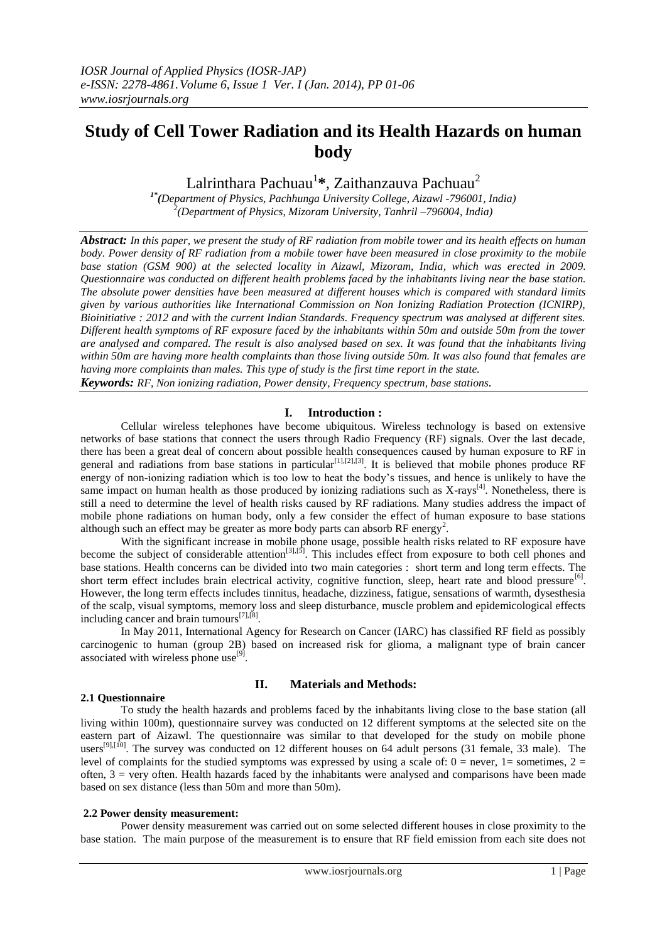# **Study of Cell Tower Radiation and its Health Hazards on human body**

Lalrinthara Pachuau<sup>1</sup>\*, Zaithanzauva Pachuau<sup>2</sup>

*1\* (Department of Physics, Pachhunga University College, Aizawl -796001, India) 2 (Department of Physics, Mizoram University, Tanhril –796004, India)*

*Abstract: In this paper, we present the study of RF radiation from mobile tower and its health effects on human body. Power density of RF radiation from a mobile tower have been measured in close proximity to the mobile base station (GSM 900) at the selected locality in Aizawl, Mizoram, India, which was erected in 2009. Questionnaire was conducted on different health problems faced by the inhabitants living near the base station. The absolute power densities have been measured at different houses which is compared with standard limits given by various authorities like International Commission on Non Ionizing Radiation Protection (ICNIRP), Bioinitiative : 2012 and with the current Indian Standards. Frequency spectrum was analysed at different sites. Different health symptoms of RF exposure faced by the inhabitants within 50m and outside 50m from the tower are analysed and compared. The result is also analysed based on sex. It was found that the inhabitants living within 50m are having more health complaints than those living outside 50m. It was also found that females are having more complaints than males. This type of study is the first time report in the state. Keywords: RF, Non ionizing radiation, Power density, Frequency spectrum, base stations.*

#### **I. Introduction :**

Cellular wireless telephones have become ubiquitous. Wireless technology is based on extensive networks of base stations that connect the users through Radio Frequency (RF) signals. Over the last decade, there has been a great deal of concern about possible health consequences caused by human exposure to RF in general and radiations from base stations in particular<sup>[1],[2],[3]</sup>. It is believed that mobile phones produce RF energy of non-ionizing radiation which is too low to heat the body's tissues, and hence is unlikely to have the same impact on human health as those produced by ionizing radiations such as  $X$ -rays<sup>[4]</sup>. Nonetheless, there is still a need to determine the level of health risks caused by RF radiations. Many studies address the impact of mobile phone radiations on human body, only a few consider the effect of human exposure to base stations although such an effect may be greater as more body parts can absorb RF energy<sup>2</sup>.

With the significant increase in mobile phone usage, possible health risks related to RF exposure have become the subject of considerable attention<sup>[3],[5]</sup>. This includes effect from exposure to both cell phones and base stations. Health concerns can be divided into two main categories : short term and long term effects. The short term effect includes brain electrical activity, cognitive function, sleep, heart rate and blood pressure<sup>[6]</sup>. However, the long term effects includes tinnitus, headache, dizziness, fatigue, sensations of warmth, dysesthesia of the scalp, visual symptoms, memory loss and sleep disturbance, muscle problem and epidemicological effects including cancer and brain tumours<sup>[7],[8]</sup>.

In May 2011, International Agency for Research on Cancer (IARC) has classified RF field as possibly carcinogenic to human (group 2B) based on increased risk for glioma, a malignant type of brain cancer associated with wireless phone use<sup>[9]</sup>.

## **2.1 Questionnaire**

## **II. Materials and Methods:**

To study the health hazards and problems faced by the inhabitants living close to the base station (all living within 100m), questionnaire survey was conducted on 12 different symptoms at the selected site on the eastern part of Aizawl. The questionnaire was similar to that developed for the study on mobile phone users<sup>[9],[10]</sup>. The survey was conducted on 12 different houses on 64 adult persons (31 female, 33 male). The level of complaints for the studied symptoms was expressed by using a scale of:  $0 =$  never,  $1 =$  sometimes,  $2 =$ often,  $3$  = very often. Health hazards faced by the inhabitants were analysed and comparisons have been made based on sex distance (less than 50m and more than 50m).

#### **2.2 Power density measurement:**

Power density measurement was carried out on some selected different houses in close proximity to the base station. The main purpose of the measurement is to ensure that RF field emission from each site does not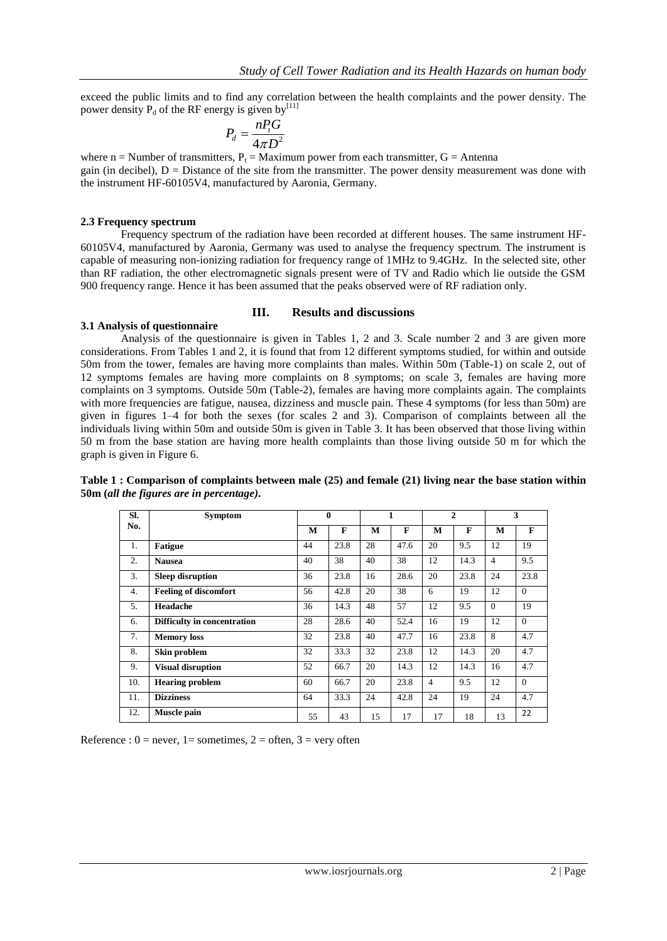exceed the public limits and to find any correlation between the health complaints and the power density. The power density  $P_d$  of the RF energy is given by<sup>[11]</sup>

$$
P_d = \frac{n P_t G}{4\pi D^2}
$$

where n = Number of transmitters,  $P_t =$  Maximum power from each transmitter,  $G =$  Antenna gain (in decibel),  $D =$  Distance of the site from the transmitter. The power density measurement was done with the instrument HF-60105V4, manufactured by Aaronia, Germany.

#### **2.3 Frequency spectrum**

Frequency spectrum of the radiation have been recorded at different houses. The same instrument HF-60105V4, manufactured by Aaronia, Germany was used to analyse the frequency spectrum. The instrument is capable of measuring non-ionizing radiation for frequency range of 1MHz to 9.4GHz. In the selected site, other than RF radiation, the other electromagnetic signals present were of TV and Radio which lie outside the GSM 900 frequency range. Hence it has been assumed that the peaks observed were of RF radiation only.

#### **III. Results and discussions**

#### **3.1 Analysis of questionnaire**

Analysis of the questionnaire is given in Tables 1, 2 and 3. Scale number 2 and 3 are given more considerations. From Tables 1 and 2, it is found that from 12 different symptoms studied, for within and outside 50m from the tower, females are having more complaints than males. Within 50m (Table-1) on scale 2, out of 12 symptoms females are having more complaints on 8 symptoms; on scale 3, females are having more complaints on 3 symptoms. Outside 50m (Table-2), females are having more complaints again. The complaints with more frequencies are fatigue, nausea, dizziness and muscle pain. These 4 symptoms (for less than 50m) are given in figures 1–4 for both the sexes (for scales 2 and 3). Comparison of complaints between all the individuals living within 50m and outside 50m is given in Table 3. It has been observed that those living within 50 m from the base station are having more health complaints than those living outside 50 m for which the graph is given in Figure 6.

**Table 1 : Comparison of complaints between male (25) and female (21) living near the base station within 50m (***all the figures are in percentage).*

| SI. | <b>Symptom</b>               | $\bf{0}$ |      | 1  |      | $\mathbf{2}$   |      | 3              |          |
|-----|------------------------------|----------|------|----|------|----------------|------|----------------|----------|
| No. |                              | M        | F    | M  | F    | M              | F    | M              | F        |
| 1.  | <b>Fatigue</b>               | 44       | 23.8 | 28 | 47.6 | 20             | 9.5  | 12             | 19       |
| 2.  | <b>Nausea</b>                | 40       | 38   | 40 | 38   | 12             | 14.3 | $\overline{4}$ | 9.5      |
| 3.  | <b>Sleep disruption</b>      | 36       | 23.8 | 16 | 28.6 | 20             | 23.8 | 24             | 23.8     |
| 4.  | <b>Feeling of discomfort</b> | 56       | 42.8 | 20 | 38   | 6              | 19   | 12             | $\Omega$ |
| 5.  | Headache                     | 36       | 14.3 | 48 | 57   | 12             | 9.5  | $\Omega$       | 19       |
| 6.  | Difficulty in concentration  | 28       | 28.6 | 40 | 52.4 | 16             | 19   | 12             | $\Omega$ |
| 7.  | <b>Memory</b> loss           | 32       | 23.8 | 40 | 47.7 | 16             | 23.8 | 8              | 4.7      |
| 8.  | Skin problem                 | 32       | 33.3 | 32 | 23.8 | 12             | 14.3 | 20             | 4.7      |
| 9.  | <b>Visual disruption</b>     | 52       | 66.7 | 20 | 14.3 | 12             | 14.3 | 16             | 4.7      |
| 10. | <b>Hearing problem</b>       | 60       | 66.7 | 20 | 23.8 | $\overline{4}$ | 9.5  | 12             | $\Omega$ |
| 11. | <b>Dizziness</b>             | 64       | 33.3 | 24 | 42.8 | 24             | 19   | 24             | 4.7      |
| 12. | Muscle pain                  | 55       | 43   | 15 | 17   | 17             | 18   | 13             | 22       |

Reference :  $0 =$  never,  $1 =$  sometimes,  $2 =$  often,  $3 =$  very often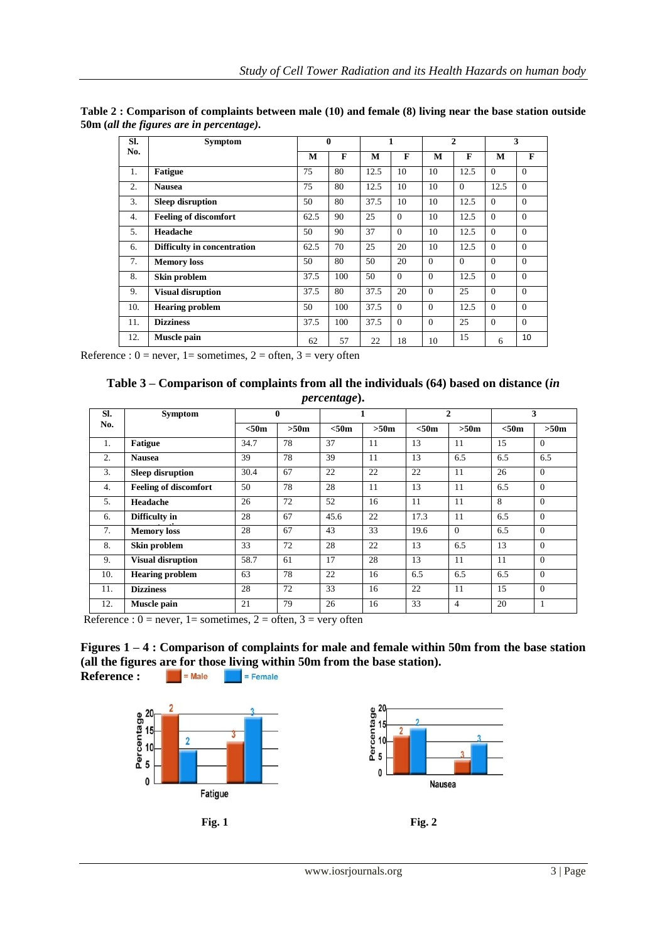| SI. | <b>Symptom</b>               | $\mathbf{0}$ |              | 1    |          | $\overline{2}$ |              | 3        |              |
|-----|------------------------------|--------------|--------------|------|----------|----------------|--------------|----------|--------------|
| No. |                              | м            | $\mathbf{F}$ | M    | F        | M              | $\mathbf{F}$ | M        | $\mathbf{F}$ |
| 1.  | <b>Fatigue</b>               | 75           | 80           | 12.5 | 10       | 10             | 12.5         | $\Omega$ | $\Omega$     |
| 2.  | <b>Nausea</b>                | 75           | 80           | 12.5 | 10       | 10             | $\Omega$     | 12.5     | $\Omega$     |
| 3.  | <b>Sleep disruption</b>      | 50           | 80           | 37.5 | 10       | 10             | 12.5         | $\Omega$ | $\Omega$     |
| 4.  | <b>Feeling of discomfort</b> | 62.5         | 90           | 25   | $\Omega$ | 10             | 12.5         | $\Omega$ | $\Omega$     |
| 5.  | Headache                     | 50           | 90           | 37   | $\Omega$ | 10             | 12.5         | $\Omega$ | $\Omega$     |
| 6.  | Difficulty in concentration  | 62.5         | 70           | 25   | 20       | 10             | 12.5         | $\Omega$ | $\Omega$     |
| 7.  | <b>Memory</b> loss           | 50           | 80           | 50   | 20       | $\Omega$       | $\Omega$     | $\Omega$ | $\Omega$     |
| 8.  | Skin problem                 | 37.5         | 100          | 50   | $\Omega$ | $\theta$       | 12.5         | $\Omega$ | $\Omega$     |
| 9.  | <b>Visual disruption</b>     | 37.5         | 80           | 37.5 | 20       | $\Omega$       | 25           | $\Omega$ | $\Omega$     |
| 10. | <b>Hearing problem</b>       | 50           | 100          | 37.5 | $\Omega$ | $\Omega$       | 12.5         | $\Omega$ | $\Omega$     |
| 11. | <b>Dizziness</b>             | 37.5         | 100          | 37.5 | $\Omega$ | $\Omega$       | 25           | $\Omega$ | $\Omega$     |
| 12. | Muscle pain                  | 62           | 57           | 22   | 18       | 10             | 15           | 6        | 10           |

**Table 2 : Comparison of complaints between male (10) and female (8) living near the base station outside 50m (***all the figures are in percentage).*

Reference :  $0 =$  never,  $1 =$  sometimes,  $2 =$  often,  $3 =$  very often

| Table 3 – Comparison of complaints from all the individuals $(64)$ based on distance <i>(in</i> ) |
|---------------------------------------------------------------------------------------------------|
| <i>percentage</i> ).                                                                              |

| SI. | <b>Symptom</b>               |       | $\mathbf{0}$ |       |      |       | $\mathbf{2}$ |       | 3        |  |
|-----|------------------------------|-------|--------------|-------|------|-------|--------------|-------|----------|--|
| No. |                              | < 50m | >50m         | < 50m | >50m | < 50m | >50m         | < 50m | >50m     |  |
| 1.  | <b>Fatigue</b>               | 34.7  | 78           | 37    | 11   | 13    | 11           | 15    | $\Omega$ |  |
| 2.  | <b>Nausea</b>                | 39    | 78           | 39    | 11   | 13    | 6.5          | 6.5   | 6.5      |  |
| 3.  | <b>Sleep disruption</b>      | 30.4  | 67           | 22    | 22   | 22    | 11           | 26    | $\Omega$ |  |
| 4.  | <b>Feeling of discomfort</b> | 50    | 78           | 28    | 11   | 13    | 11           | 6.5   | $\Omega$ |  |
| 5.  | Headache                     | 26    | 72           | 52    | 16   | 11    | 11           | 8     | $\Omega$ |  |
| 6.  | Difficulty in                | 28    | 67           | 45.6  | 22   | 17.3  | 11           | 6.5   | $\Omega$ |  |
| 7.  | <b>Memory</b> loss           | 28    | 67           | 43    | 33   | 19.6  | $\Omega$     | 6.5   | $\Omega$ |  |
| 8.  | Skin problem                 | 33    | 72           | 28    | 22   | 13    | 6.5          | 13    | $\Omega$ |  |
| 9.  | <b>Visual disruption</b>     | 58.7  | 61           | 17    | 28   | 13    | 11           | 11    | $\Omega$ |  |
| 10. | <b>Hearing problem</b>       | 63    | 78           | 22    | 16   | 6.5   | 6.5          | 6.5   | $\Omega$ |  |
| 11. | <b>Dizziness</b>             | 28    | 72           | 33    | 16   | 22    | 11           | 15    | $\Omega$ |  |
| 12. | Muscle pain                  | 21    | 79           | 26    | 16   | 33    | 4            | 20    | 1        |  |

Reference :  $0 =$  never,  $1 =$  sometimes,  $2 =$  often,  $3 =$  very often



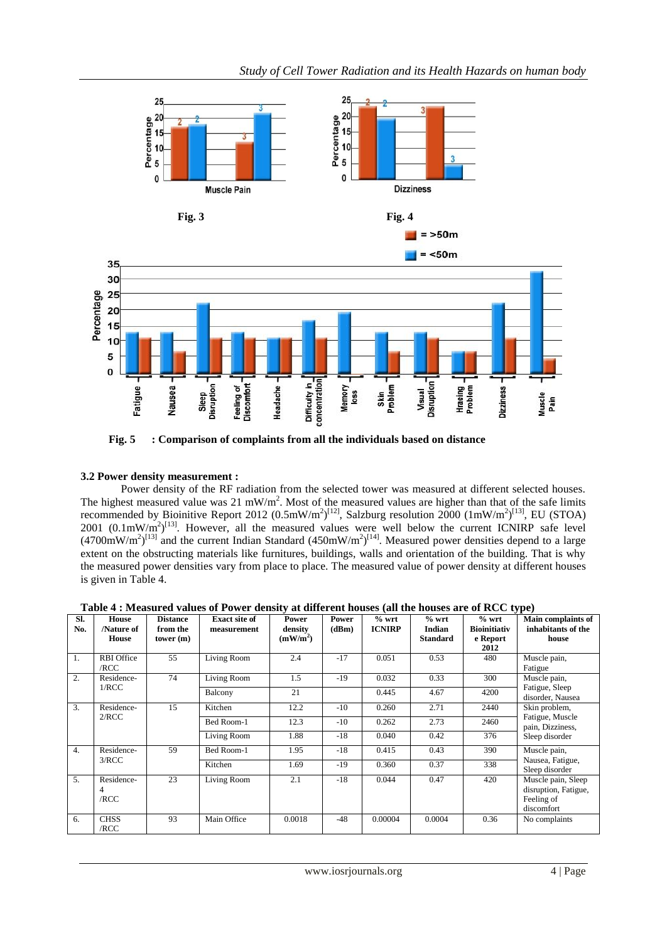

**Fig. 5 : Comparison of complaints from all the individuals based on distance** 

# **3.2 Power density measurement :**

Power density of the RF radiation from the selected tower was measured at different selected houses. The highest measured value was 21 mW/m<sup>2</sup>. Most of the measured values are higher than that of the safe limits recommended by Bioinitive Report 2012  $(0.5 \text{mW/m}^2)^{[12]}$ , Salzburg resolution 2000  $(1 \text{mW/m}^2)^{[13]}$ , EU (STOA)  $2001$   $(0.1 \text{mW/m}^2)^{[13]}$ . However, all the measured values were well below the current ICNIRP safe level  $(4700 \text{mW/m}^2)^{[13]}$  and the current Indian Standard  $(450 \text{mW/m}^2)^{[14]}$ . Measured power densities depend to a large extent on the obstructing materials like furnitures, buildings, walls and orientation of the building. That is why the measured power densities vary from place to place. The measured value of power density at different houses is given in Table 4.

| Table 4 : Measured values of Power density at different houses (all the houses are of RCC type) |
|-------------------------------------------------------------------------------------------------|
|                                                                                                 |

|            | $\sim$ , $\sim$ ,            |                                         |                                     |                                          |                |                          |                                      |                                                    |                                                                        |  |  |
|------------|------------------------------|-----------------------------------------|-------------------------------------|------------------------------------------|----------------|--------------------------|--------------------------------------|----------------------------------------------------|------------------------------------------------------------------------|--|--|
| SI.<br>No. | House<br>/Nature of<br>House | <b>Distance</b><br>from the<br>tower(m) | <b>Exact site of</b><br>measurement | Power<br>density<br>(mW/m <sup>2</sup> ) | Power<br>(dBm) | $%$ wrt<br><b>ICNIRP</b> | $%$ wrt<br>Indian<br><b>Standard</b> | $%$ wrt<br><b>Bioinitiativ</b><br>e Report<br>2012 | <b>Main complaints of</b><br>inhabitants of the<br>house               |  |  |
| 1.         | <b>RBI</b> Office<br>/RCC    | 55                                      | Living Room                         | 2.4                                      | $-17$          | 0.051                    | 0.53                                 | 480                                                | Muscle pain,<br>Fatigue                                                |  |  |
| 2.         | Residence-                   | 74                                      | Living Room                         | 1.5                                      | $-19$          | 0.032                    | 0.33                                 | 300                                                | Muscle pain,                                                           |  |  |
|            | 1/RCC                        |                                         | Balcony                             | 21                                       |                | 0.445                    | 4.67                                 | 4200                                               | Fatigue, Sleep<br>disorder, Nausea                                     |  |  |
| 3.         | Residence-<br>2/RCC          | 15                                      | Kitchen                             | 12.2                                     | $-10$          | 0.260                    | 2.71                                 | 2440                                               | Skin problem,                                                          |  |  |
|            |                              |                                         | Bed Room-1                          | 12.3                                     | $-10$          | 0.262                    | 2.73                                 | 2460                                               | Fatigue, Muscle<br>pain, Dizziness,                                    |  |  |
|            |                              |                                         | Living Room                         | 1.88                                     | $-18$          | 0.040                    | 0.42                                 | 376                                                | Sleep disorder                                                         |  |  |
| 4.         | Residence-                   | 59                                      | Bed Room-1                          | 1.95                                     | $-18$          | 0.415                    | 0.43                                 | 390                                                | Muscle pain,                                                           |  |  |
|            | 3/RCC                        |                                         | Kitchen                             | 1.69                                     | $-19$          | 0.360                    | 0.37                                 | 338                                                | Nausea, Fatigue,<br>Sleep disorder                                     |  |  |
| 5.         | Residence-<br>4<br>/RCC      | 23                                      | Living Room                         | 2.1                                      | $-18$          | 0.044                    | 0.47                                 | 420                                                | Muscle pain, Sleep<br>disruption, Fatigue,<br>Feeling of<br>discomfort |  |  |
| 6.         | <b>CHSS</b><br>/RCC          | 93                                      | Main Office                         | 0.0018                                   | $-48$          | 0.00004                  | 0.0004                               | 0.36                                               | No complaints                                                          |  |  |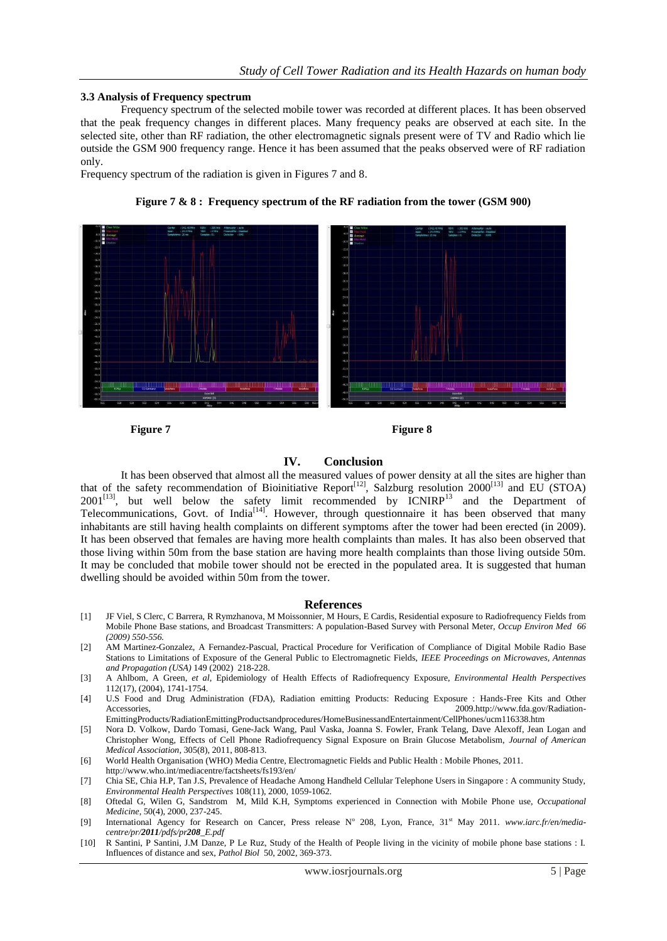#### **3.3 Analysis of Frequency spectrum**

Frequency spectrum of the selected mobile tower was recorded at different places. It has been observed that the peak frequency changes in different places. Many frequency peaks are observed at each site. In the selected site, other than RF radiation, the other electromagnetic signals present were of TV and Radio which lie outside the GSM 900 frequency range. Hence it has been assumed that the peaks observed were of RF radiation only.

Frequency spectrum of the radiation is given in Figures 7 and 8.



**Figure 7 & 8 : Frequency spectrum of the RF radiation from the tower (GSM 900)**

**Figure 7** Figure 8

#### **IV. Conclusion**

It has been observed that almost all the measured values of power density at all the sites are higher than that of the safety recommendation of Bioinitiative Report<sup>[12]</sup>, Salzburg resolution  $2000^{[13]}$  and EU (STOA)  $2001^{[13]}$ , but well below the safety limit recommended by  $ICNIRP^{13}$  and the Department of Telecommunications, Govt. of India<sup>[14]</sup>. However, through questionnaire it has been observed that many inhabitants are still having health complaints on different symptoms after the tower had been erected (in 2009). It has been observed that females are having more health complaints than males. It has also been observed that those living within 50m from the base station are having more health complaints than those living outside 50m. It may be concluded that mobile tower should not be erected in the populated area. It is suggested that human dwelling should be avoided within 50m from the tower.

#### **References**

- [1] JF Viel, S Clerc, [C Barrera,](http://oem.bmj.com/search?author1=C+Barrera&sortspec=date&submit=Submit) [R Rymzhanova,](http://oem.bmj.com/search?author1=R+Rymzhanova&sortspec=date&submit=Submit) [M Moissonnier,](http://oem.bmj.com/search?author1=M+Moissonnier&sortspec=date&submit=Submit) [M Hours,](http://oem.bmj.com/search?author1=M+Hours&sortspec=date&submit=Submit) [E Cardis,](http://oem.bmj.com/search?author1=E+Cardis&sortspec=date&submit=Submit) Residential exposure to Radiofrequency Fields from Mobile Phone Base stations, and Broadcast Transmitters: A population-Based Survey with Personal Meter, *Occup Environ Med 66 (2009) 550-556.*
- [2] AM Martinez-Gonzalez, A Fernandez-Pascual, Practical Procedure for Verification of Compliance of Digital Mobile Radio Base Stations to Limitations of Exposure of the General Public to Electromagnetic Fields, *IEEE Proceedings on Microwaves, Antennas and Propagation (USA)* 149 (2002) 218-228.
- [3] A Ahlbom, A Green, *et al*, Epidemiology of Health Effects of Radiofrequency Exposure, *Environmental Health Perspectives*  112(17), (2004), 1741-1754.
- [4] U.S Food and Drug Administration (FDA), Radiation emitting Products: Reducing Exposure : Hands-Free Kits and Other Accessories, 2009.http://www.fda.gov/Radiation-EmittingProducts/RadiationEmittingProductsandprocedures/HomeBusinessandEntertainment/CellPhones/ucm116338.htm
- [5] [Nora D. Volkow,](http://www.ncbi.nlm.nih.gov/pubmed/?term=Volkow%20ND%5Bauth%5D) [Dardo Tomasi,](http://www.ncbi.nlm.nih.gov/pubmed/?term=Tomasi%20D%5Bauth%5D) [Gene-Jack Wang,](http://www.ncbi.nlm.nih.gov/pubmed/?term=Wang%20GJ%5Bauth%5D) [Paul Vaska,](http://www.ncbi.nlm.nih.gov/pubmed/?term=Vaska%20P%5Bauth%5D) [Joanna S. Fowler,](http://www.ncbi.nlm.nih.gov/pubmed/?term=Fowler%20JS%5Bauth%5D) [Frank Telang,](http://www.ncbi.nlm.nih.gov/pubmed/?term=Telang%20F%5Bauth%5D) [Dave Alexoff,](http://www.ncbi.nlm.nih.gov/pubmed/?term=Alexoff%20D%5Bauth%5D) [Jean Logan](http://www.ncbi.nlm.nih.gov/pubmed/?term=Logan%20J%5Bauth%5D) and [Christopher Wong,](http://www.ncbi.nlm.nih.gov/pubmed/?term=Wong%20C%5Bauth%5D) Effects of Cell Phone Radiofrequency Signal Exposure on Brain Glucose Metabolism, *Journal of American Medical Association*, 305(8), 2011, 808-813.

[6] World Health Organisation (WHO) Media Centre, Electromagnetic Fields and Public Health : Mobile Phones, 2011.

- http://www.who.int/mediacentre/factsheets/fs193/en/
- [7] Chia SE, Chia H.P, Tan J.S, Prevalence of Headache Among Handheld Cellular Telephone Users in Singapore : A community Study, *Environmental Health Perspectives* 108(11), 2000, 1059-1062.
- [8] Oftedal G, Wilen G, Sandstrom M, Mild K.H, Symptoms experienced in Connection with Mobile Phone use, *Occupational Medicine*, 50(4), 2000, 237-245.
- [9] International Agency for Research on Cancer, Press release N° 208, Lyon, France, 31<sup>st</sup> May 2011. *www.iarc.fr/en/mediacentre/pr/2011/pdfs/pr208\_E.pdf*
- [10] R Santini, P Santini, J.M Danze, P Le Ruz, Study of the Health of People living in the vicinity of mobile phone base stations : I. Influences of distance and sex, *Pathol Biol* 50, 2002, 369-373.